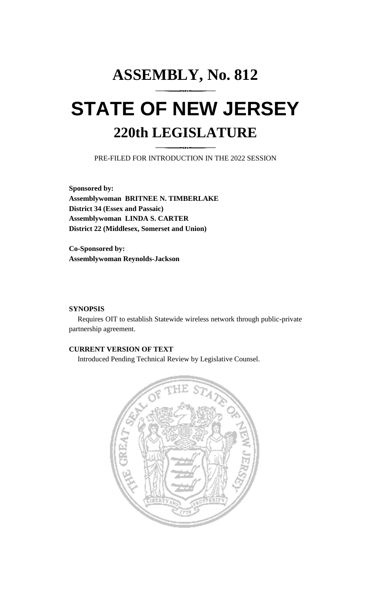# **ASSEMBLY, No. 812 STATE OF NEW JERSEY 220th LEGISLATURE**

PRE-FILED FOR INTRODUCTION IN THE 2022 SESSION

**Sponsored by: Assemblywoman BRITNEE N. TIMBERLAKE District 34 (Essex and Passaic) Assemblywoman LINDA S. CARTER District 22 (Middlesex, Somerset and Union)**

**Co-Sponsored by: Assemblywoman Reynolds-Jackson**

### **SYNOPSIS**

Requires OIT to establish Statewide wireless network through public-private partnership agreement.

## **CURRENT VERSION OF TEXT**

Introduced Pending Technical Review by Legislative Counsel.

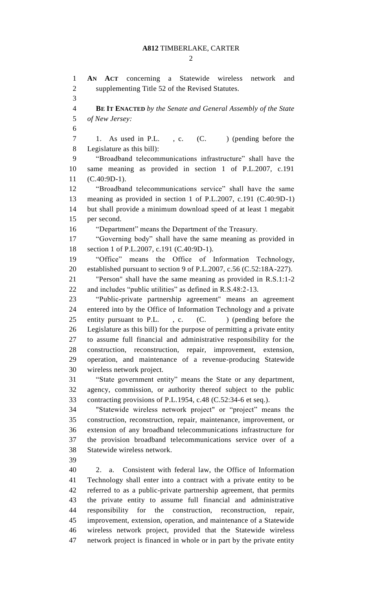$\mathcal{D}_{\mathcal{L}}$ 

 **AN ACT** concerning a Statewide wireless network and supplementing Title 52 of the Revised Statutes. **BE IT ENACTED** *by the Senate and General Assembly of the State of New Jersey:* 7 1. As used in P.L., c. (C.) (pending before the Legislature as this bill): "Broadband telecommunications infrastructure" shall have the same meaning as provided in section 1 of P.L.2007, c.191 (C.40:9D-1). "Broadband telecommunications service" shall have the same meaning as provided in section 1 of P.L.2007, c.191 (C.40:9D-1) but shall provide a minimum download speed of at least 1 megabit per second. "Department" means the Department of the Treasury. "Governing body" shall have the same meaning as provided in section 1 of P.L.2007, c.191 (C.40:9D-1). "Office" means the Office of Information Technology, established pursuant to section 9 of P.L.2007, c.56 (C.52:18A-227). "Person" shall have the same meaning as provided in R.S.1:1-2 and includes "public utilities" as defined in R.S.48:2-13. "Public-private partnership agreement" means an agreement entered into by the Office of Information Technology and a private 25 entity pursuant to P.L., c. (C. ) (pending before the Legislature as this bill) for the purpose of permitting a private entity to assume full financial and administrative responsibility for the construction, reconstruction, repair, improvement, extension, operation, and maintenance of a revenue-producing Statewide wireless network project. "State government entity" means the State or any department, agency, commission, or authority thereof subject to the public contracting provisions of P.L.1954, c.48 (C.52:34-6 et seq.). "Statewide wireless network project" or "project" means the construction, reconstruction, repair, maintenance, improvement, or extension of any broadband telecommunications infrastructure for the provision broadband telecommunications service over of a Statewide wireless network. 2. a. Consistent with federal law, the Office of Information Technology shall enter into a contract with a private entity to be referred to as a public-private partnership agreement, that permits the private entity to assume full financial and administrative responsibility for the construction, reconstruction, repair, improvement, extension, operation, and maintenance of a Statewide wireless network project, provided that the Statewide wireless network project is financed in whole or in part by the private entity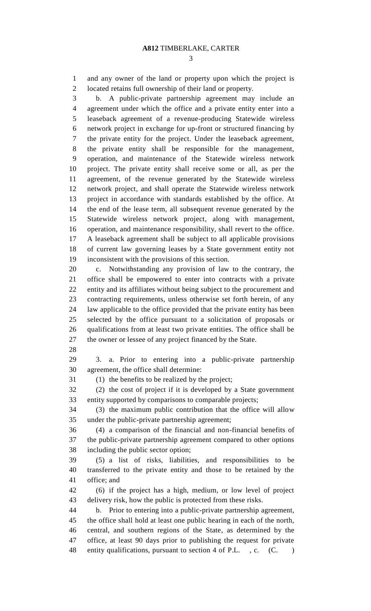and any owner of the land or property upon which the project is located retains full ownership of their land or property.

 b. A public-private partnership agreement may include an agreement under which the office and a private entity enter into a leaseback agreement of a revenue-producing Statewide wireless network project in exchange for up-front or structured financing by the private entity for the project. Under the leaseback agreement, the private entity shall be responsible for the management, operation, and maintenance of the Statewide wireless network project. The private entity shall receive some or all, as per the agreement, of the revenue generated by the Statewide wireless network project, and shall operate the Statewide wireless network project in accordance with standards established by the office. At the end of the lease term, all subsequent revenue generated by the Statewide wireless network project, along with management, operation, and maintenance responsibility, shall revert to the office. A leaseback agreement shall be subject to all applicable provisions of current law governing leases by a State government entity not inconsistent with the provisions of this section.

 c. Notwithstanding any provision of law to the contrary, the office shall be empowered to enter into contracts with a private entity and its affiliates without being subject to the procurement and contracting requirements, unless otherwise set forth herein, of any law applicable to the office provided that the private entity has been selected by the office pursuant to a solicitation of proposals or qualifications from at least two private entities. The office shall be the owner or lessee of any project financed by the State.

 3. a. Prior to entering into a public-private partnership agreement, the office shall determine:

(1) the benefits to be realized by the project;

 (2) the cost of project if it is developed by a State government entity supported by comparisons to comparable projects;

 (3) the maximum public contribution that the office will allow under the public-private partnership agreement;

 (4) a comparison of the financial and non-financial benefits of the public-private partnership agreement compared to other options including the public sector option;

 (5) a list of risks, liabilities, and responsibilities to be transferred to the private entity and those to be retained by the office; and

 (6) if the project has a high, medium, or low level of project delivery risk, how the public is protected from these risks.

 b. Prior to entering into a public-private partnership agreement, the office shall hold at least one public hearing in each of the north, central, and southern regions of the State, as determined by the office, at least 90 days prior to publishing the request for private 48 entity qualifications, pursuant to section 4 of P.L., c. (C.)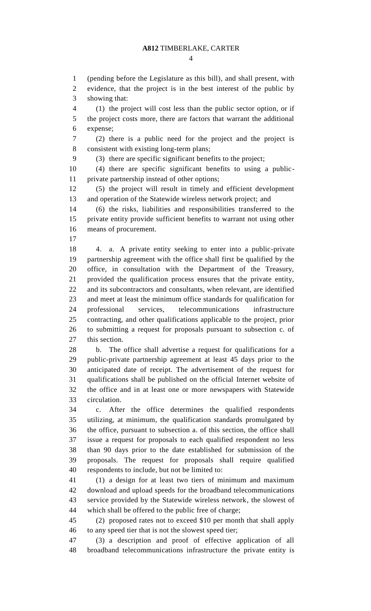(pending before the Legislature as this bill), and shall present, with evidence, that the project is in the best interest of the public by showing that: (1) the project will cost less than the public sector option, or if the project costs more, there are factors that warrant the additional expense; (2) there is a public need for the project and the project is consistent with existing long-term plans; (3) there are specific significant benefits to the project; (4) there are specific significant benefits to using a public- private partnership instead of other options; (5) the project will result in timely and efficient development and operation of the Statewide wireless network project; and (6) the risks, liabilities and responsibilities transferred to the private entity provide sufficient benefits to warrant not using other means of procurement. 4. a. A private entity seeking to enter into a public-private partnership agreement with the office shall first be qualified by the office, in consultation with the Department of the Treasury, provided the qualification process ensures that the private entity, and its subcontractors and consultants, when relevant, are identified and meet at least the minimum office standards for qualification for professional services, telecommunications infrastructure contracting, and other qualifications applicable to the project, prior to submitting a request for proposals pursuant to subsection c. of this section. b. The office shall advertise a request for qualifications for a public-private partnership agreement at least 45 days prior to the anticipated date of receipt. The advertisement of the request for qualifications shall be published on the official Internet website of the office and in at least one or more newspapers with Statewide circulation. c. After the office determines the qualified respondents utilizing, at minimum, the qualification standards promulgated by the office, pursuant to subsection a. of this section, the office shall issue a request for proposals to each qualified respondent no less than 90 days prior to the date established for submission of the proposals. The request for proposals shall require qualified respondents to include, but not be limited to: (1) a design for at least two tiers of minimum and maximum download and upload speeds for the broadband telecommunications service provided by the Statewide wireless network, the slowest of which shall be offered to the public free of charge; (2) proposed rates not to exceed \$10 per month that shall apply to any speed tier that is not the slowest speed tier;

 (3) a description and proof of effective application of all broadband telecommunications infrastructure the private entity is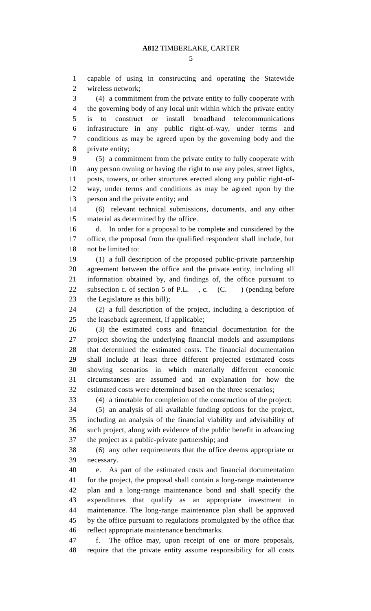capable of using in constructing and operating the Statewide wireless network;

 (4) a commitment from the private entity to fully cooperate with the governing body of any local unit within which the private entity is to construct or install broadband telecommunications infrastructure in any public right-of-way, under terms and conditions as may be agreed upon by the governing body and the private entity;

 (5) a commitment from the private entity to fully cooperate with any person owning or having the right to use any poles, street lights, posts, towers, or other structures erected along any public right-of- way, under terms and conditions as may be agreed upon by the person and the private entity; and

 (6) relevant technical submissions, documents, and any other material as determined by the office.

 d. In order for a proposal to be complete and considered by the office, the proposal from the qualified respondent shall include, but not be limited to:

 (1) a full description of the proposed public-private partnership agreement between the office and the private entity, including all information obtained by, and findings of, the office pursuant to 22 subsection c. of section 5 of P.L., c. (C.) (pending before the Legislature as this bill);

 (2) a full description of the project, including a description of the leaseback agreement, if applicable;

 (3) the estimated costs and financial documentation for the project showing the underlying financial models and assumptions that determined the estimated costs. The financial documentation shall include at least three different projected estimated costs showing scenarios in which materially different economic circumstances are assumed and an explanation for how the estimated costs were determined based on the three scenarios;

(4) a timetable for completion of the construction of the project;

 (5) an analysis of all available funding options for the project, including an analysis of the financial viability and advisability of such project, along with evidence of the public benefit in advancing the project as a public-private partnership; and

 (6) any other requirements that the office deems appropriate or necessary.

 e. As part of the estimated costs and financial documentation for the project, the proposal shall contain a long-range maintenance plan and a long-range maintenance bond and shall specify the expenditures that qualify as an appropriate investment in maintenance. The long-range maintenance plan shall be approved by the office pursuant to regulations promulgated by the office that reflect appropriate maintenance benchmarks.

 f. The office may, upon receipt of one or more proposals, require that the private entity assume responsibility for all costs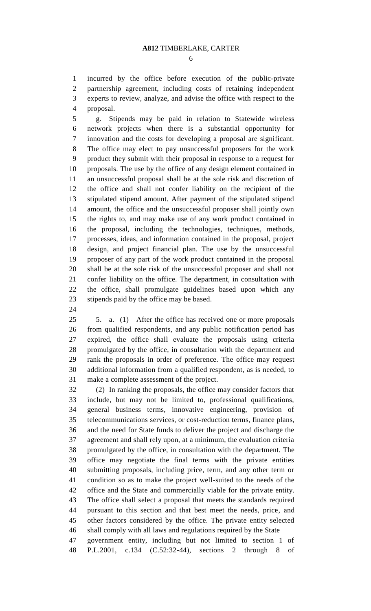incurred by the office before execution of the public-private partnership agreement, including costs of retaining independent experts to review, analyze, and advise the office with respect to the proposal.

 g. Stipends may be paid in relation to Statewide wireless network projects when there is a substantial opportunity for innovation and the costs for developing a proposal are significant. The office may elect to pay unsuccessful proposers for the work product they submit with their proposal in response to a request for proposals. The use by the office of any design element contained in an unsuccessful proposal shall be at the sole risk and discretion of the office and shall not confer liability on the recipient of the stipulated stipend amount. After payment of the stipulated stipend amount, the office and the unsuccessful proposer shall jointly own the rights to, and may make use of any work product contained in the proposal, including the technologies, techniques, methods, processes, ideas, and information contained in the proposal, project design, and project financial plan. The use by the unsuccessful proposer of any part of the work product contained in the proposal shall be at the sole risk of the unsuccessful proposer and shall not confer liability on the office. The department, in consultation with the office, shall promulgate guidelines based upon which any stipends paid by the office may be based.

 5. a. (1) After the office has received one or more proposals from qualified respondents, and any public notification period has expired, the office shall evaluate the proposals using criteria promulgated by the office, in consultation with the department and rank the proposals in order of preference. The office may request additional information from a qualified respondent, as is needed, to make a complete assessment of the project.

 (2) In ranking the proposals, the office may consider factors that include, but may not be limited to, professional qualifications, general business terms, innovative engineering, provision of telecommunications services, or cost-reduction terms, finance plans, and the need for State funds to deliver the project and discharge the agreement and shall rely upon, at a minimum, the evaluation criteria promulgated by the office, in consultation with the department. The office may negotiate the final terms with the private entities submitting proposals, including price, term, and any other term or condition so as to make the project well-suited to the needs of the office and the State and commercially viable for the private entity. The office shall select a proposal that meets the standards required pursuant to this section and that best meet the needs, price, and other factors considered by the office. The private entity selected shall comply with all laws and regulations required by the State

 government entity, including but not limited to section 1 of P.L.2001, c.134 (C.52:32-44), sections 2 through 8 of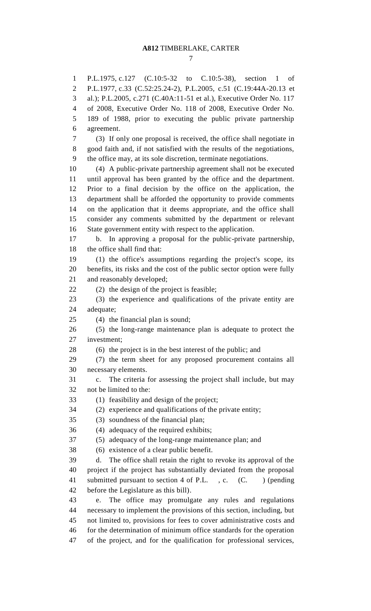P.L.1975, c.127 (C.10:5-32 to C.10:5-38), section 1 of P.L.1977, c.33 (C.52:25.24-2), P.L.2005, c.51 (C.19:44A-20.13 et al.); P.L.2005, c.271 (C.40A:11-51 et al.), Executive Order No. 117 of 2008, Executive Order No. 118 of 2008, Executive Order No. 189 of 1988, prior to executing the public private partnership agreement. (3) If only one proposal is received, the office shall negotiate in good faith and, if not satisfied with the results of the negotiations, the office may, at its sole discretion, terminate negotiations. (4) A public-private partnership agreement shall not be executed until approval has been granted by the office and the department. Prior to a final decision by the office on the application, the department shall be afforded the opportunity to provide comments on the application that it deems appropriate, and the office shall consider any comments submitted by the department or relevant State government entity with respect to the application. b. In approving a proposal for the public-private partnership, the office shall find that: (1) the office's assumptions regarding the project's scope, its benefits, its risks and the cost of the public sector option were fully and reasonably developed; (2) the design of the project is feasible; (3) the experience and qualifications of the private entity are adequate; (4) the financial plan is sound; (5) the long-range maintenance plan is adequate to protect the investment; (6) the project is in the best interest of the public; and (7) the term sheet for any proposed procurement contains all necessary elements. c. The criteria for assessing the project shall include, but may not be limited to the: (1) feasibility and design of the project; (2) experience and qualifications of the private entity; (3) soundness of the financial plan; (4) adequacy of the required exhibits; (5) adequacy of the long-range maintenance plan; and (6) existence of a clear public benefit. d. The office shall retain the right to revoke its approval of the project if the project has substantially deviated from the proposal 41 submitted pursuant to section 4 of P.L., c. (C.) (pending before the Legislature as this bill). e. The office may promulgate any rules and regulations necessary to implement the provisions of this section, including, but not limited to, provisions for fees to cover administrative costs and for the determination of minimum office standards for the operation of the project, and for the qualification for professional services,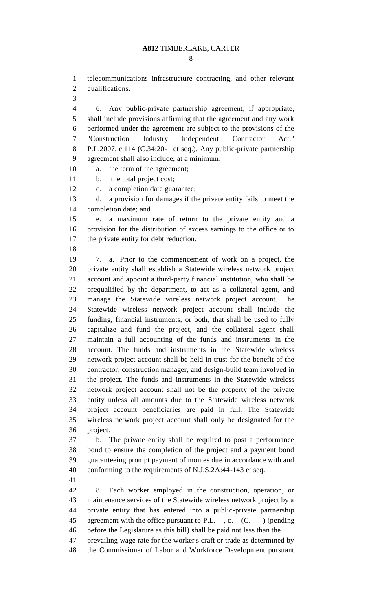telecommunications infrastructure contracting, and other relevant qualifications.

 6. Any public-private partnership agreement, if appropriate, shall include provisions affirming that the agreement and any work performed under the agreement are subject to the provisions of the "Construction Industry Independent Contractor Act," P.L.2007, c.114 (C.34:20-1 et seq.). Any public-private partnership agreement shall also include, at a minimum:

a. the term of the agreement;

b. the total project cost;

c. a completion date guarantee;

 d. a provision for damages if the private entity fails to meet the completion date; and

 e. a maximum rate of return to the private entity and a provision for the distribution of excess earnings to the office or to 17 the private entity for debt reduction.

 7. a. Prior to the commencement of work on a project, the private entity shall establish a Statewide wireless network project account and appoint a third-party financial institution, who shall be prequalified by the department, to act as a collateral agent, and manage the Statewide wireless network project account. The Statewide wireless network project account shall include the funding, financial instruments, or both, that shall be used to fully capitalize and fund the project, and the collateral agent shall maintain a full accounting of the funds and instruments in the account. The funds and instruments in the Statewide wireless network project account shall be held in trust for the benefit of the contractor, construction manager, and design-build team involved in the project. The funds and instruments in the Statewide wireless network project account shall not be the property of the private entity unless all amounts due to the Statewide wireless network project account beneficiaries are paid in full. The Statewide wireless network project account shall only be designated for the project.

 b. The private entity shall be required to post a performance bond to ensure the completion of the project and a payment bond guaranteeing prompt payment of monies due in accordance with and conforming to the requirements of N.J.S.2A:44-143 et seq.

 8. Each worker employed in the construction, operation, or maintenance services of the Statewide wireless network project by a private entity that has entered into a public-private partnership 45 agreement with the office pursuant to P.L., c. (C.) (pending before the Legislature as this bill) shall be paid not less than the prevailing wage rate for the worker's craft or trade as determined by

the Commissioner of Labor and Workforce Development pursuant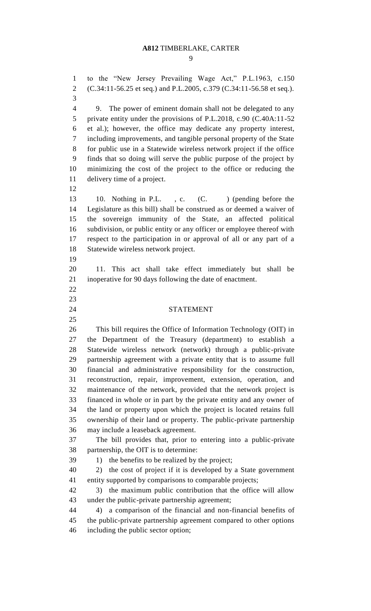to the "New Jersey Prevailing Wage Act," P.L.1963, c.150 (C.34:11-56.25 et seq.) and P.L.2005, c.379 (C.34:11-56.58 et seq.). 9. The power of eminent domain shall not be delegated to any 5 private entity under the provisions of P.L.2018, c.90 (C.40A:11-52) et al.); however, the office may dedicate any property interest, including improvements, and tangible personal property of the State

 for public use in a Statewide wireless network project if the office finds that so doing will serve the public purpose of the project by minimizing the cost of the project to the office or reducing the delivery time of a project.

 10. Nothing in P.L. , c. (C. ) (pending before the Legislature as this bill) shall be construed as or deemed a waiver of the sovereign immunity of the State, an affected political subdivision, or public entity or any officer or employee thereof with respect to the participation in or approval of all or any part of a Statewide wireless network project.

 

 11. This act shall take effect immediately but shall be inoperative for 90 days following the date of enactment.

#### STATEMENT

 This bill requires the Office of Information Technology (OIT) in the Department of the Treasury (department) to establish a Statewide wireless network (network) through a public-private partnership agreement with a private entity that is to assume full financial and administrative responsibility for the construction, reconstruction, repair, improvement, extension, operation, and maintenance of the network, provided that the network project is financed in whole or in part by the private entity and any owner of the land or property upon which the project is located retains full ownership of their land or property. The public-private partnership may include a leaseback agreement.

 The bill provides that, prior to entering into a public-private partnership, the OIT is to determine:

39 1) the benefits to be realized by the project;

 2) the cost of project if it is developed by a State government entity supported by comparisons to comparable projects;

 3) the maximum public contribution that the office will allow under the public-private partnership agreement;

 4) a comparison of the financial and non-financial benefits of the public-private partnership agreement compared to other options including the public sector option;